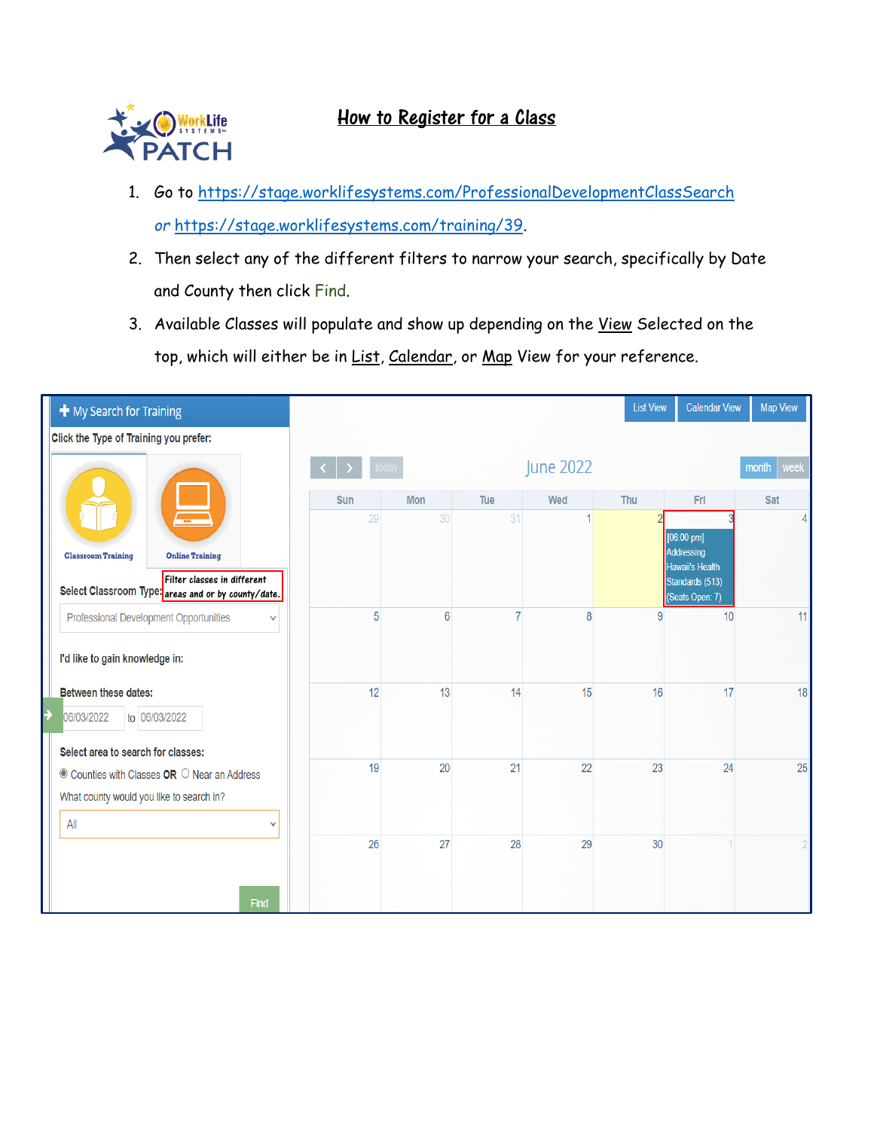

## How to Register for a Class

- 1. Go to<https://stage.worklifesystems.com/ProfessionalDevelopmentClassSearch> *or* [https://stage.worklifesystems.com/training/39.](https://stage.worklifesystems.com/training/39)
- 2. Then select any of the different filters to narrow your search, specifically by Date and County then click Find.
- 3. Available Classes will populate and show up depending on the View Selected on the top, which will either be in List, Calendar, or Map View for your reference.

| $+$ My Search for Training                                                         |                 |            |     |           | <b>List View</b> | <b>Calendar View</b>                                  | <b>Map View</b> |
|------------------------------------------------------------------------------------|-----------------|------------|-----|-----------|------------------|-------------------------------------------------------|-----------------|
| Click the Type of Training you prefer:                                             |                 |            |     |           |                  |                                                       |                 |
|                                                                                    |                 |            |     | June 2022 |                  |                                                       | month<br>week   |
|                                                                                    | Sun             | <b>Mon</b> | Tue | Wed       | Thu              | Fri                                                   | Sat             |
|                                                                                    | 29              | 30         | 31  |           |                  | $[06:00 \text{ pm}]$                                  | 4               |
| <b>Online Training</b><br><b>Classroom Training</b>                                |                 |            |     |           |                  | Addressing                                            |                 |
| Filter classes in different<br>Select Classroom Type: areas and or by county/date. |                 |            |     |           |                  | Hawaii's Health<br>Standards (513)<br>(Seats Open: 7) |                 |
| Professional Development Opportunities<br>$\checkmark$                             | $5\overline{)}$ | 6          | 7   | 8         | 9                | 10                                                    | 11              |
| I'd like to gain knowledge in:                                                     |                 |            |     |           |                  |                                                       |                 |
|                                                                                    |                 |            |     |           |                  |                                                       |                 |
| <b>Between these dates:</b>                                                        | 12              | 13         | 14  | 15        | 16               | 17                                                    | 18              |
| to 06/03/2022<br>06/03/2022                                                        |                 |            |     |           |                  |                                                       |                 |
| Select area to search for classes:                                                 |                 |            |     |           |                  |                                                       |                 |
| $\bullet$ Counties with Classes <b>OR</b> $\circ$ Near an Address                  | 19              | 20         | 21  | 22        | 23               | 24                                                    | 25              |
| What county would you like to search in?                                           |                 |            |     |           |                  |                                                       |                 |
| All<br>$\checkmark$                                                                |                 |            |     |           |                  |                                                       |                 |
|                                                                                    | 26              | 27         | 28  | 29        | 30               |                                                       |                 |
|                                                                                    |                 |            |     |           |                  |                                                       |                 |
| Find                                                                               |                 |            |     |           |                  |                                                       |                 |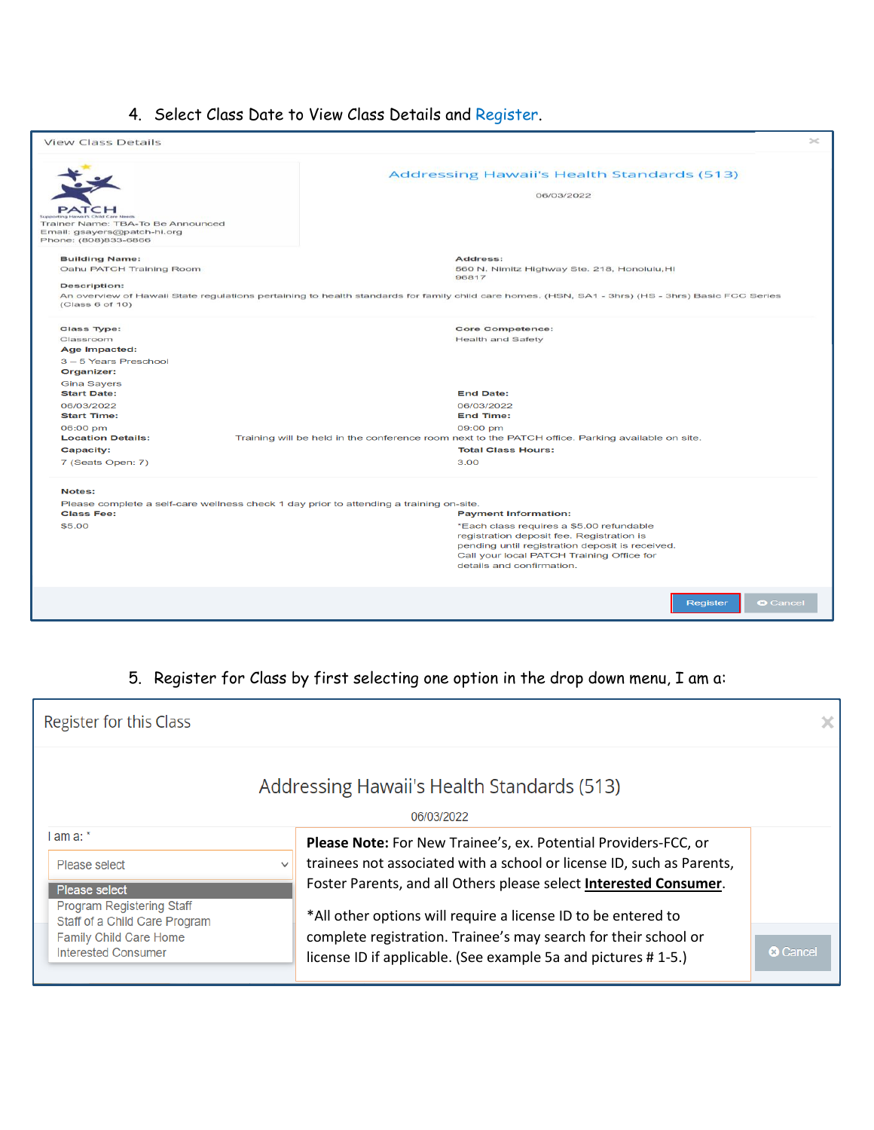# 4. Select Class Date to View Class Details and Register.

| <b>View Class Details</b>                                                                                                        | $>\,$                                                                                                                                                                                                                                             |
|----------------------------------------------------------------------------------------------------------------------------------|---------------------------------------------------------------------------------------------------------------------------------------------------------------------------------------------------------------------------------------------------|
| PATCH<br>Trainer Name: TBA-To Be Announced<br>Email: gsayers@patch-hi.org<br>Phone: (808)833-6866                                | <b>Addressing Hawaii's Health Standards (513)</b><br>06/03/2022                                                                                                                                                                                   |
| <b>Building Name:</b><br>Oahu PATCH Training Room<br><b>Description:</b><br>(Class 6 of 10)                                      | Address:<br>560 N. Nimitz Highway Ste. 218, Honolulu, HI<br>96817<br>An overview of Hawaii State regulations pertaining to health standards for family child care homes. (HSN, SA1 - 3hrs) (HS - 3hrs) Basic FCC Series                           |
| <b>Class Type:</b><br>Classroom<br>Age Impacted:<br>3-5 Years Preschool<br>Organizer:                                            | <b>Core Competence:</b><br><b>Health and Safety</b>                                                                                                                                                                                               |
| <b>Gina Sayers</b><br><b>Start Date:</b><br>06/03/2022<br><b>Start Time:</b>                                                     | <b>End Date:</b><br>06/03/2022<br><b>End Time:</b>                                                                                                                                                                                                |
| 06:00 pm<br><b>Location Details:</b><br>Capacity:                                                                                | 09:00 pm<br>Training will be held in the conference room next to the PATCH office. Parking available on site.<br><b>Total Class Hours:</b>                                                                                                        |
| 7 (Seats Open: 7)                                                                                                                | 3.00                                                                                                                                                                                                                                              |
| Notes:<br>Please complete a self-care wellness check 1 day prior to attending a training on-site.<br><b>Class Fee:</b><br>\$5,00 | <b>Payment Information:</b><br>*Each class requires a \$5.00 refundable<br>registration deposit fee. Registration is<br>pending until registration deposit is received.<br>Call your local PATCH Training Office for<br>details and confirmation. |
|                                                                                                                                  | <b>O</b> Cancel<br>Register                                                                                                                                                                                                                       |

# 5. Register for Class by first selecting one option in the drop down menu, I am a:

| Register for this Class                                                               |                                                                                                                                                                                                                                                                                |                 |  |  |  |  |
|---------------------------------------------------------------------------------------|--------------------------------------------------------------------------------------------------------------------------------------------------------------------------------------------------------------------------------------------------------------------------------|-----------------|--|--|--|--|
| Addressing Hawaii's Health Standards (513)<br>06/03/2022                              |                                                                                                                                                                                                                                                                                |                 |  |  |  |  |
| l am a: *<br>Please select<br>Please select<br><b>Program Registering Staff</b>       | Please Note: For New Trainee's, ex. Potential Providers-FCC, or<br>trainees not associated with a school or license ID, such as Parents,<br>Foster Parents, and all Others please select Interested Consumer.<br>*All other options will require a license ID to be entered to |                 |  |  |  |  |
| Staff of a Child Care Program<br>Family Child Care Home<br><b>Interested Consumer</b> | complete registration. Trainee's may search for their school or<br>license ID if applicable. (See example 5a and pictures #1-5.)                                                                                                                                               | <b>@</b> Cancel |  |  |  |  |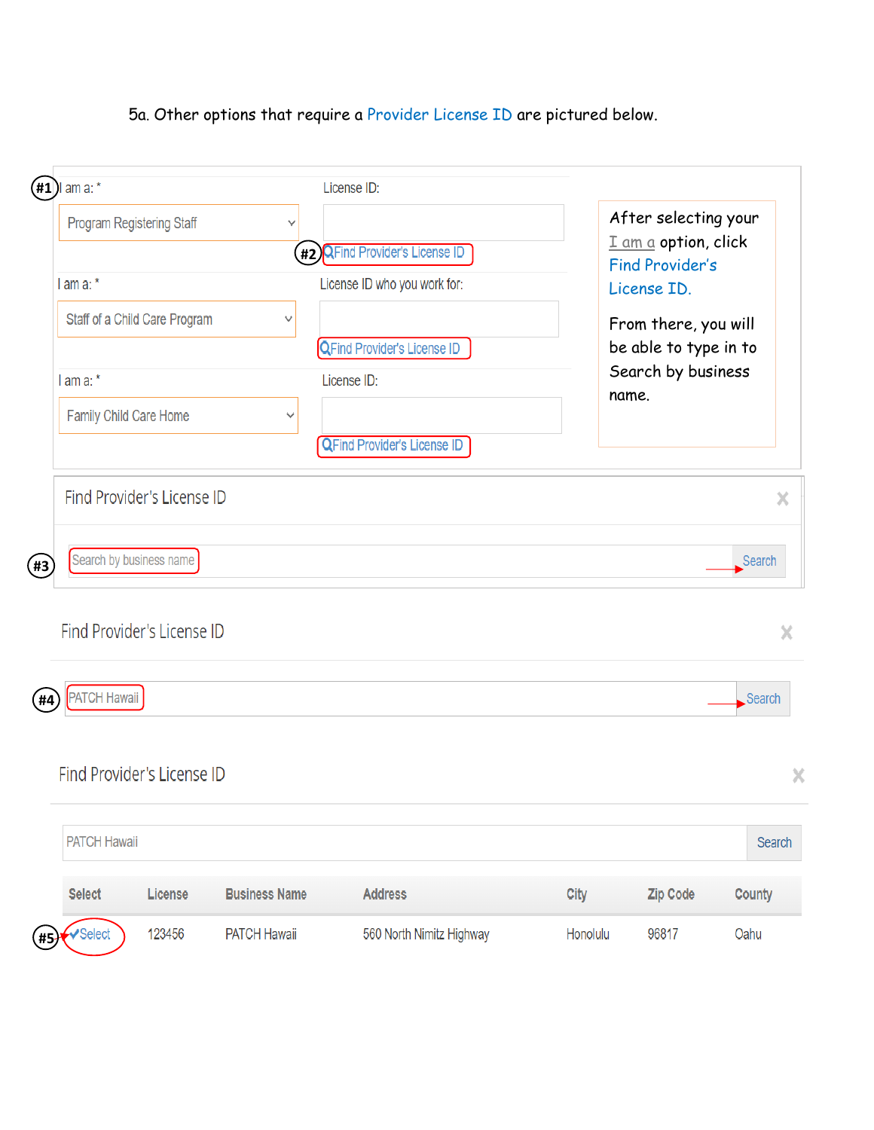#### 5a. Other options that require a Provider License ID are pictured below.